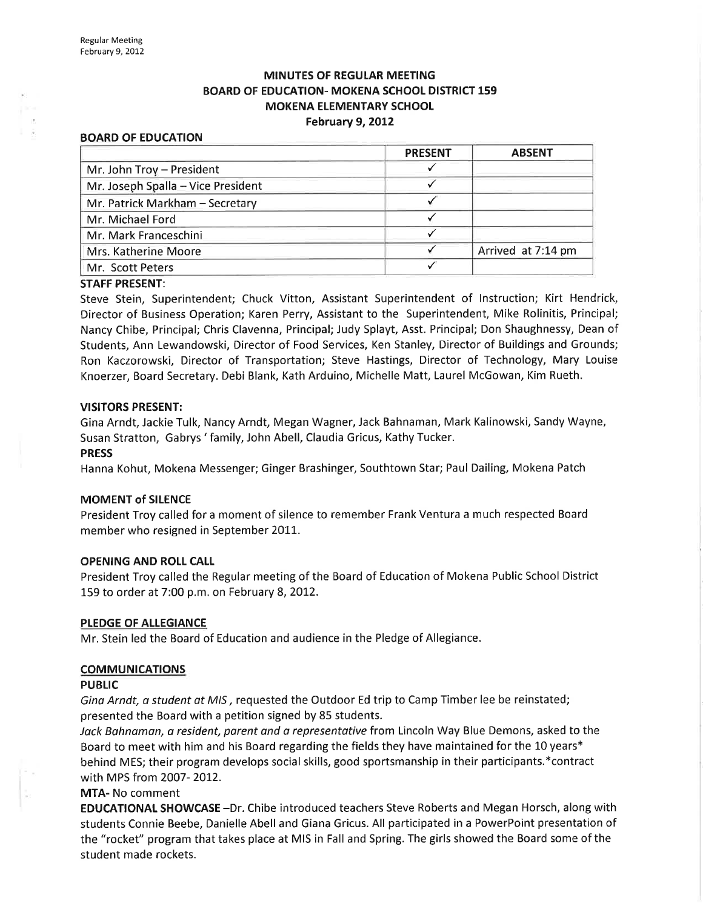# **MINUTES OF REGULAR MEETING** BOARD OF EDUCATION- MOKENA SCHOOL DISTRICT 159 MOKENA ELEMENTARY SCHOOL February 9, 2012

#### BOARD OF EDUCATION

| <b>PRESENT</b> | <b>ABSENT</b>      |
|----------------|--------------------|
|                |                    |
|                |                    |
|                |                    |
|                |                    |
|                |                    |
|                | Arrived at 7:14 pm |
|                |                    |
|                |                    |

#### STAFF PRESENT:

Steve Stein, Superintendent; Chuck Vitton, Assistant Superintendent of Instruction; Kirt Hendrick, Director of Business Operation; Karen Perry, Assistant to the Superintendent, Mike Rolínitis, Principal; Nancy Chibe, Principal; Chris Clavenna, Principal; Judy Splayt, Asst. Principal; Don Shaughnessy, Dean of Students, Ann Lewandowski, Director of Food Services, Ken Stanley, Director of Buildings and Grounds; Ron Kaczorowski, Director of Transportation; Steve Hastings, Director of Technology, Mary Louise Knoerzer, Board Secretary. Debi Blank, Kath Arduino, Michelle Matt, Laurel McGowan, Kim Rueth.

#### VISITORS PRESENT:

Gina Arndt, Jackie Tulk, Nancy Arndt, Megan Wagner, Jack Bahnaman, Mark Kalinowski, Sandy Wayne, Susan Stratton, Gabrys 'family, John Abell, Claudia Gricus, Kathy Tucker.

### PRESS

Hanna Kohut, Mokena Messenger; Ginger Brashinger, Southtown Star; Paul Dailing, Mokena Patch

#### MOMENT of SILENCE

President Troy called for a moment of silence to remember Frank Ventura a much respected Board member who resigned in September 2011.

#### OPENING AND ROLL CALL

President Troy called the Regular meeting of the Board of Education of Mokena Public School District 159 to order at 7:00 p.m. on February 8,2012.

#### PLEDGE OF ALLEGIANCE

Mr. Stein led the Board of Education and audience in the Pledge of Allegiance.

## **COMMUNICATIONS**

#### **PUBLIC**

Gina Arndt, a student at MIS, requested the Outdoor Ed trip to Camp Timber lee be reinstated; presented the Board with a petition signed by 85 students.

Jack Bahnaman, a resident, parent and a representative from Lincoln Way Blue Demons, asked to the Board to meet with him and his Board regarding the fields they have maintained for the 10 years\* behind MES; their program develops social skills, good sportsmanship in their participants.\*contract with MPS from 2007-2012.

## MTA- No comment

EDUCATIONAT SHOWCASE -Dr. Chibe introduced teachers Steve Roberts and Megan Horsch, along with students Connie Beebe, Danielle Abell and Giana Gricus. All participated in a PowerPoint presentation of the "rocket" program that takes place at MIS in Fall and Spring. The girls showed the Board some of the student made rockets.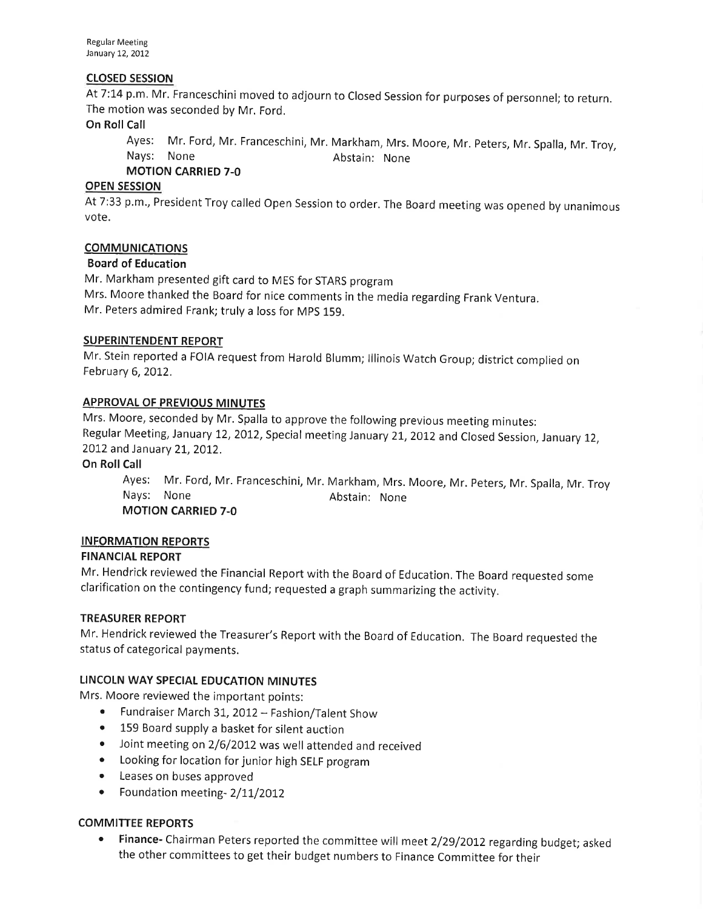Regular Meeting January 12, 2012

# cLosED sEsstoN

At 7:14 p.m. Mr. Franceschini moved to adjourn to Closed Session for purposes of personnel; to return. The motion was seconded by Mr. Ford.

# On Roll Call

Ayes: Mr. Ford, Mr. Franceschini, Mr. Markham, Mrs. Moore, Mr. peters, Mr. Spalla, Mr. Troy, Nays: None **Abstain:** None

MOTION CARRIED 7-O

# OPEN SESSION

At 7:33 p.m., President Troy called Open Session to order. The Board meeting was opened by unanimous vote.

# COMMUNICATIONS

# Board of Education

Mr. Markham presented gift card to MES for STARS program Mrs. Moore thanked the Board for nice comments in the media regarding Frank Ventura. Mr. Peters admired Frank; truly a loss for MpS 159.

# SUPERINTENDENT REPORT

Mr. Stein reported a FOIA request from Harold Blumm; lllinois Watch Group; district complied on February 6, 2012.

# APPROVAL OF PREVIOUS MINUTES

Mrs. Moore, seconded by Mr. Spalla to approve the following previous meeting minutes: Regular Meeting, January 12, 2012, Special meeting January 21, 2012 and Closed Session, January 12, 2012 and January 21, 2012.

# On Roll Call

Ayes: Mr. Ford, Mr. Franceschini, Mr. Markham, Mrs. Moore, Mr. peters, Mr. Spalla, Mr.Troy Nays: None **Abstain:** None MOTION CARRIED 7-O

# INFORMATION REPORTS

# FINANCIAL REPORT

Mr. Hendrick reviewed the Financial Report with the Board of Education, The Board requested some clarification on the contingency fund; requested a graph summarizing the activity.

# TREASURER REPORT

Mr. Hendrick reviewed the Treasurer's Report with the Board of Education. The Board requested the status of categorical payments.

# LINCOIN WAY SPECIAL EDUCATION MINUTES

Mrs. Moore reviewed the important points:

- o Fundraiser March 3t,2OIZ Fashion/Talent Show
- 159 Board supply a basket for silent auction
- Joint meeting on 2/6/2012 was well attended and received
- Looking for location for junior high SELF program
- Leases on buses approved
- Foundation meeting- 2/11/2012

# COMMITTEE REPORTS

• Finance- Chairman Peters reported the committee will meet 2/29/2012 regarding budget; asked the other committees to get their budget numbers to Finance Committee for their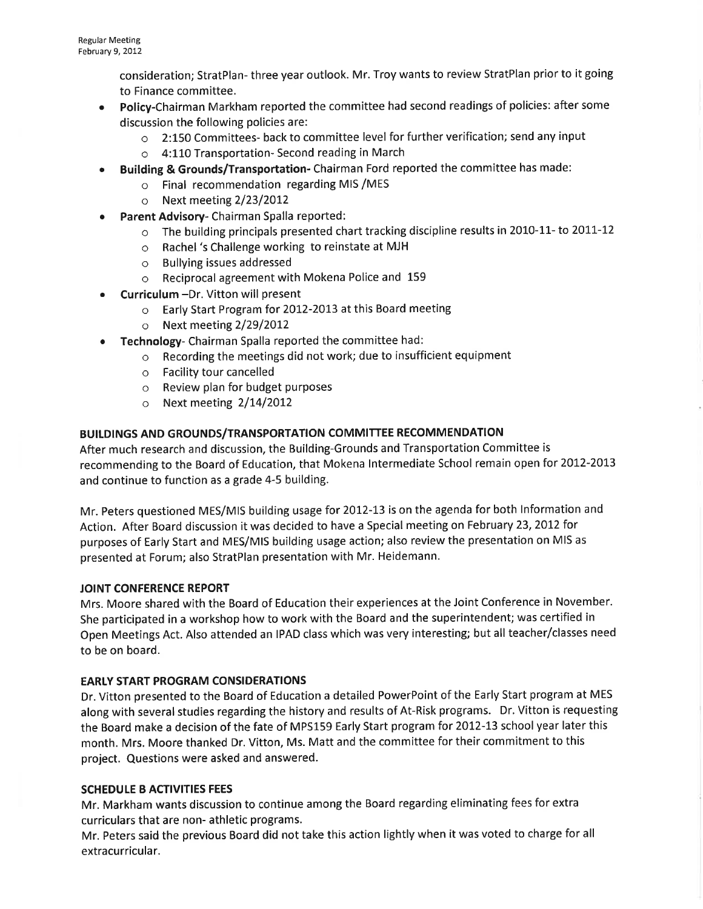consideration; StratPlan- three year outlook. Mr. Troy wants to review StratPlan prior to it going to Finance committee.

- . Policy-Chairman Markham reported the committee had second readings of policies: after some discussion the following policies are:
	- o 2:150 Committees- back to committee level for further verification; send any input
	- o 4:110 Transportation- Second reading in March
- ¡ Building & Grounds/Transportation- Chairman Ford reported the committee has made:
	- o Final recommendation regarding MIS /MES
		- o Next meeting  $2/23/2012$
- o Parent Advisory- Chairman Spalla reported:
	- o The building principals presented chart tracking discipline results in 2010-11- to 2011-12
	- o Rachel 's Challenge working to reinstate at MJH
	- o Bullying issues addressed
	- o Reciprocal agreement with Mokena Police and <sup>159</sup>
- Curriculum -Dr. Vitton will present
	- o Early Start Program for 2012-2013 at this Board meeting
	- $\circ$  Next meeting 2/29/2012
- Technology- Chairman Spalla reported the committee had:
	- $\circ$  Recording the meetings did not work; due to insufficient equipment
	- o Facility tour cancelled
	- o Review plan for budget purposes
	- $\circ$  Next meeting 2/14/2012

# BUILDINGS AND GROUNDS/TRANSPORTATION COMMITTEE RECOMMENDATION

After much research and discussion, the Building-Grounds and Transportation Committee is recommending to the Board of Education, that Mokena Intermediate School remain open for 2012-2013 and continue to function as a grade 4-5 building.

Mr. Peters questioned MES/MlS building usage for 2OI2-13 is on the agenda for both lnformation and Action. After Board discussion it was decided to have a Special meeting on February 23, 2012 for purposes of Early Start and MES/MlS building usage action; also review the presentation on MIS as presented at Forum; also StratPlan presentation with Mr. Heidemann.

# JOINT CONFERENCE REPORT

Mrs. Moore shared with the Board of Education their experiences at the Joint Conference in November. She participated in a workshop how to work with the Board and the superintendent; was certified in Open Meetings Act. Also attended an IPAD class which was very interesting; but all teacher/classes need to be on board.

# EARLY START PROGRAM CONSIDERATIONS

Dr. Vitton presented to the Board of Education a detailed PowerPoint of the Early Start program at MES along with several studies regarding the history and results of At-Risk programs. Dr. Vitton is requesting the Board make a decision of the fate of MPS159 Early Start program for 2012-13 school year later this month. Mrs. Moore thanked Dr. Vitton, Ms. Matt and the committee for their commitment to this project. Questions were asked and answered.

# SCHEDULE B ACTIVITIES FEES

Mr. Markham wants discussion to continue among the Board regarding eliminating fees for extra curriculars that are non- athletic programs.

Mr. Peters said the previous Board did not take this action lightly when it was voted to charge for all extracurricular.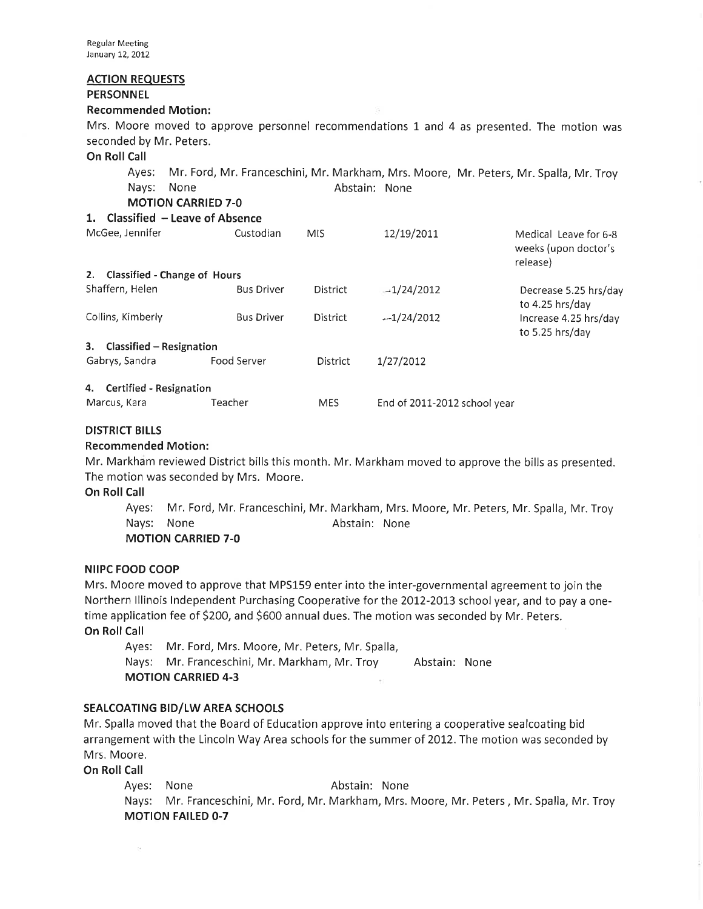# ACTION REQUESTS

# **PERSONNEL**

## Recommended Motion:

Mrs. Moore moved to approve personnel recommendations 1 and 4 as presented. The motion was seconded by Mr. Peters.

## On Roll Call

Ayes: Mr. Ford, Mr. Franceschini, Mr. Markham, Mrs. Moore, Mr. Peters, Mr. Spalla, Mr. Troy Nays: None **Abstain:** None

MOTION CARRIED 7-O

| 1. Classified - Leave of Absence |  |
|----------------------------------|--|
|----------------------------------|--|

| McGee, Jennifer                    | Custodian         | <b>MIS</b> | 12/19/2011                   | Medical Leave for 6-8<br>weeks (upon doctor's<br>release) |
|------------------------------------|-------------------|------------|------------------------------|-----------------------------------------------------------|
| Classified - Change of Hours<br>2. |                   |            |                              |                                                           |
| Shaffern, Helen                    | <b>Bus Driver</b> | District   | $-1/24/2012$                 | Decrease 5.25 hrs/day<br>to 4.25 hrs/day                  |
| Collins, Kimberly                  | <b>Bus Driver</b> | District   | $-1/24/2012$                 | Increase 4.25 hrs/day<br>to 5.25 hrs/day                  |
| Classified - Resignation<br>3.     |                   |            |                              |                                                           |
| Gabrys, Sandra                     | Food Server       | District   | 1/27/2012                    |                                                           |
| 4. Certified - Resignation         |                   |            |                              |                                                           |
| Marcus, Kara                       | Teacher           | <b>MES</b> | End of 2011-2012 school year |                                                           |

# DISTRICT BILLS

## Recommended Motion:

Mr. Markham reviewed District bills this month. Mr. Markham moved to approve the bills as presented. The motion was seconded by Mrs. Moore.

## On Roll Call

Ayes: Mr. Ford, Mr. Franceschini, Mr, Markham, Mrs. Moore, Mr. Peters, Mr. Spalla, Mr.Troy Nays: None **Abstain:** None MOTION CARRIED 7-O

NilPC FOOD COOP

Mrs. Moore moved to approve that MPS159 enter into the inter-governmental agreement to join the Northern Illinois Independent Purchasing Cooperative for the 2012-2013 school year, and to pay a onetime application fee of \$200, and \$600 annual dues. The motion was seconded by Mr. Peters. On Roll Call

Ayes: Mr. Ford, Mrs. Moore, Mr. Peters, Mr. Spalla, Nays: Mr. Franceschini, Mr. Markham, Mr. Troy Abstain: None MOTION CARRIED 4-3

# SEALCOATING BID/LW AREA SCHOOLS

Mr. Spalla moved that the Board of Education approve into entering a cooperative sealcoating bid arrangement with the Lincoln Way Area schools for the summer of 2012. The motion was seconded by Mrs. Moore.

On Roll Call

'n.

Ayes: None **Abstain:** None Nays: Mr. Franceschini, Mr. Ford, Mr, Markham, Mrs. Moore, Mr. Peters, Mr. Spalla, Mr. Troy MOTION FAILED O-7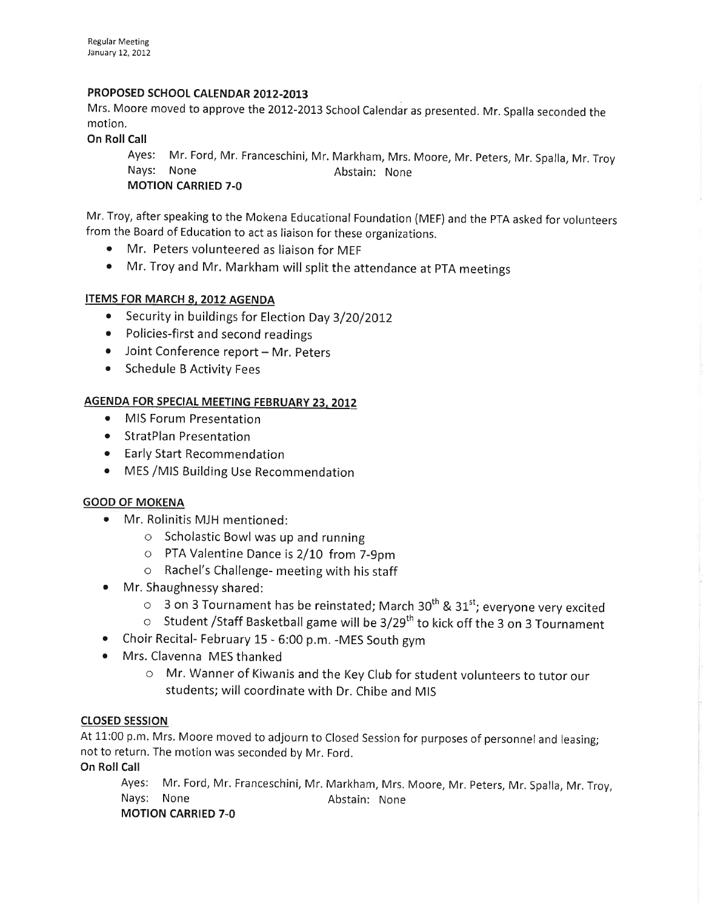# PROPOSED SCHOOL CALENDAR 2012-2013

Mrs. Moore moved to approve the 2012-2013 School Calendar as presented. Mr. Spalla seconded the motion.

On Roll Call

Ayes: Mr. Ford, Mr. Franceschini, Mr. Markham, Mrs. Moore, Mr. Peters, Mr. Spalla, Mr. Troy Nays: None Abstain: None MOTION CARRIED 7-O

Mr. Troy, after speaking to the Mokena Educational Foundation (MEF) and the pTA asked for volunteers from the Board of Education to act as liaison for these organizations.

- o Mr. Peters volunteered as liaison for MEF
- Mr. Troy and Mr. Markham will split the attendance at PTA meetings

# ITEMS FOR MARCH 8. 2012 AGENDA

- Security in buildings for Election Day 3/20/2012
- Policies-first and second readings
- Joint Conference report Mr. Peters
- Schedule B Activity Fees

# AGENDA FOR SPECIAL MEETING FEBRUARY 23, 2012

- MIS Forum Presentation
- **•** StratPlan Presentation
- o Early Start Recommendation
- MES / MIS Building Use Recommendation

# GOOD OF MOKENA

- Mr. Rolinitis MJH mentioned:
	- $\circ$  Scholastic Bowl was up and running
	- o PTA Valentine Dance is2/LO from 7-9pm
	- $\circ$  Rachel's Challenge- meeting with his staff
- Mr. Shaughnessy shared:
	- $\circ$  3 on 3 Tournament has be reinstated; March 30<sup>th</sup> & 31<sup>st</sup>; everyone very excited
	- $\circ$  Student /Staff Basketball game will be 3/29<sup>th</sup> to kick off the 3 on 3 Tournament
- o Choir Recital- February 15 6:00 p.m. -MES South gym
- Mrs. Clavenna MES thanked
	- o Mr. Wanner of Kiwanis and the Key Club for student volunteers to tutor our students; will coordinate with Dr. Chibe and MIS

# closED sEsstoN

At 11:00 p.m. Mrs. Moore moved to adjourn to Closed Session for purposes of personnel and leasing; not to return. The motion was seconded by Mr. Ford.

On Roll Call

Ayes: Mr. Ford, Mr. Franceschini, Mr. Markham, Mrs. Moore, Mr. Peters, Mr. Spalla, Mr. Troy, Nays: None Abstain: None MOTION CARRIED 7-O